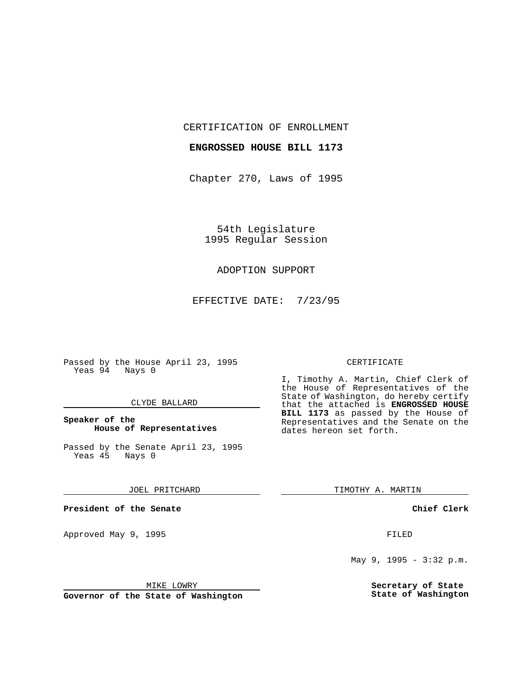CERTIFICATION OF ENROLLMENT

## **ENGROSSED HOUSE BILL 1173**

Chapter 270, Laws of 1995

54th Legislature 1995 Regular Session

## ADOPTION SUPPORT

EFFECTIVE DATE: 7/23/95

Passed by the House April 23, 1995 Yeas 94 Nays 0

#### CLYDE BALLARD

## **Speaker of the House of Representatives**

Passed by the Senate April 23, 1995<br>Yeas 45 Nays 0 Yeas 45

#### JOEL PRITCHARD

**President of the Senate**

Approved May 9, 1995 **FILED** 

#### MIKE LOWRY

**Governor of the State of Washington**

#### CERTIFICATE

I, Timothy A. Martin, Chief Clerk of the House of Representatives of the State of Washington, do hereby certify that the attached is **ENGROSSED HOUSE BILL 1173** as passed by the House of Representatives and the Senate on the dates hereon set forth.

TIMOTHY A. MARTIN

### **Chief Clerk**

May 9, 1995 - 3:32 p.m.

**Secretary of State State of Washington**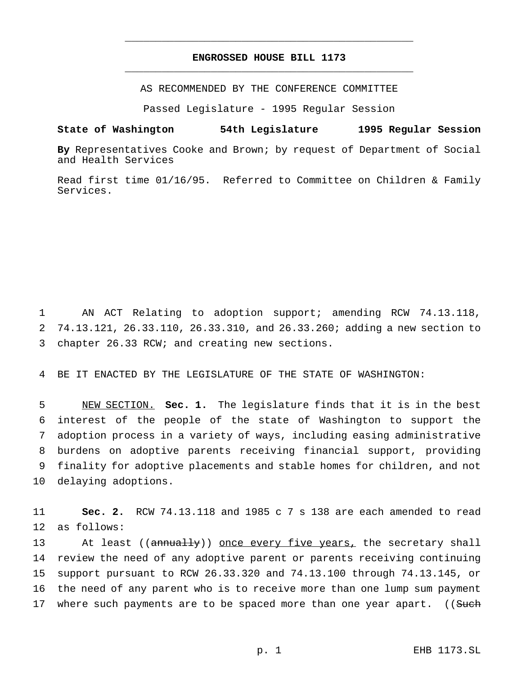# **ENGROSSED HOUSE BILL 1173** \_\_\_\_\_\_\_\_\_\_\_\_\_\_\_\_\_\_\_\_\_\_\_\_\_\_\_\_\_\_\_\_\_\_\_\_\_\_\_\_\_\_\_\_\_\_\_

\_\_\_\_\_\_\_\_\_\_\_\_\_\_\_\_\_\_\_\_\_\_\_\_\_\_\_\_\_\_\_\_\_\_\_\_\_\_\_\_\_\_\_\_\_\_\_

AS RECOMMENDED BY THE CONFERENCE COMMITTEE

Passed Legislature - 1995 Regular Session

#### **State of Washington 54th Legislature 1995 Regular Session**

**By** Representatives Cooke and Brown; by request of Department of Social and Health Services

Read first time 01/16/95. Referred to Committee on Children & Family Services.

1 AN ACT Relating to adoption support; amending RCW 74.13.118, 2 74.13.121, 26.33.110, 26.33.310, and 26.33.260; adding a new section to 3 chapter 26.33 RCW; and creating new sections.

4 BE IT ENACTED BY THE LEGISLATURE OF THE STATE OF WASHINGTON:

 NEW SECTION. **Sec. 1.** The legislature finds that it is in the best interest of the people of the state of Washington to support the adoption process in a variety of ways, including easing administrative burdens on adoptive parents receiving financial support, providing finality for adoptive placements and stable homes for children, and not delaying adoptions.

11 **Sec. 2.** RCW 74.13.118 and 1985 c 7 s 138 are each amended to read 12 as follows:

13 At least ((annually)) once every five years, the secretary shall 14 review the need of any adoptive parent or parents receiving continuing 15 support pursuant to RCW 26.33.320 and 74.13.100 through 74.13.145, or 16 the need of any parent who is to receive more than one lump sum payment 17 where such payments are to be spaced more than one year apart. ((Such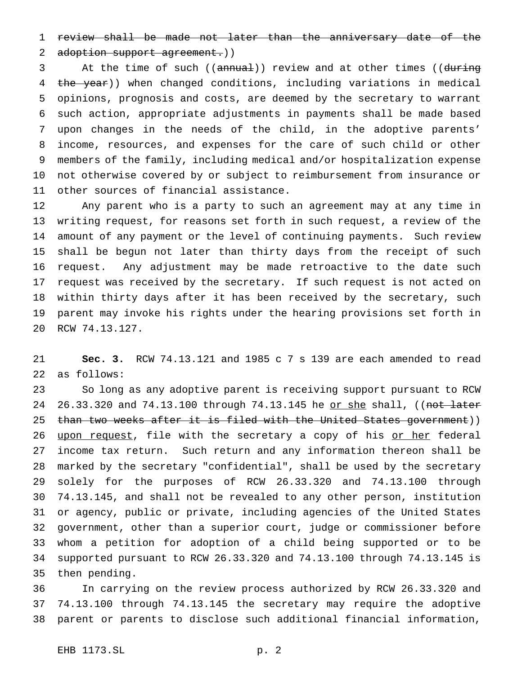review shall be made not later than the anniversary date of the

2 adoption support agreement.))

3 At the time of such ((annual)) review and at other times ((during 4 the year)) when changed conditions, including variations in medical opinions, prognosis and costs, are deemed by the secretary to warrant such action, appropriate adjustments in payments shall be made based upon changes in the needs of the child, in the adoptive parents' income, resources, and expenses for the care of such child or other members of the family, including medical and/or hospitalization expense not otherwise covered by or subject to reimbursement from insurance or other sources of financial assistance.

 Any parent who is a party to such an agreement may at any time in writing request, for reasons set forth in such request, a review of the amount of any payment or the level of continuing payments. Such review shall be begun not later than thirty days from the receipt of such request. Any adjustment may be made retroactive to the date such request was received by the secretary. If such request is not acted on within thirty days after it has been received by the secretary, such parent may invoke his rights under the hearing provisions set forth in RCW 74.13.127.

 **Sec. 3.** RCW 74.13.121 and 1985 c 7 s 139 are each amended to read as follows:

 So long as any adoptive parent is receiving support pursuant to RCW 24 26.33.320 and 74.13.100 through 74.13.145 he or she shall, ((not later 25 than two weeks after it is filed with the United States government)) 26 upon request, file with the secretary a copy of his or her federal income tax return. Such return and any information thereon shall be marked by the secretary "confidential", shall be used by the secretary solely for the purposes of RCW 26.33.320 and 74.13.100 through 74.13.145, and shall not be revealed to any other person, institution or agency, public or private, including agencies of the United States government, other than a superior court, judge or commissioner before whom a petition for adoption of a child being supported or to be supported pursuant to RCW 26.33.320 and 74.13.100 through 74.13.145 is then pending.

 In carrying on the review process authorized by RCW 26.33.320 and 74.13.100 through 74.13.145 the secretary may require the adoptive parent or parents to disclose such additional financial information,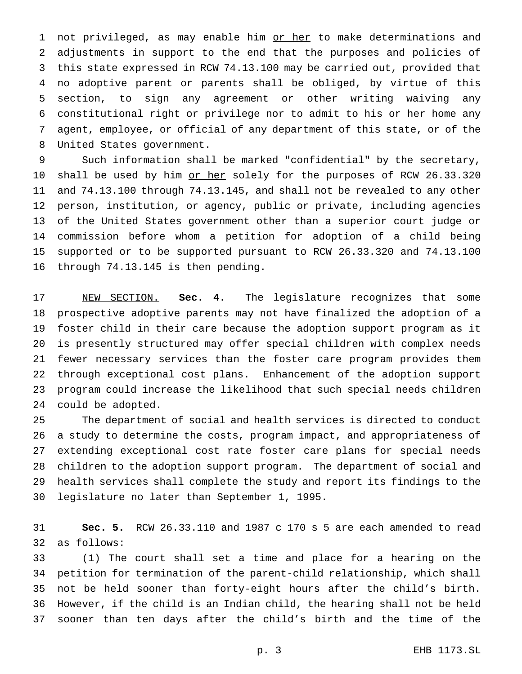1 not privileged, as may enable him or her to make determinations and adjustments in support to the end that the purposes and policies of this state expressed in RCW 74.13.100 may be carried out, provided that no adoptive parent or parents shall be obliged, by virtue of this section, to sign any agreement or other writing waiving any constitutional right or privilege nor to admit to his or her home any agent, employee, or official of any department of this state, or of the United States government.

 Such information shall be marked "confidential" by the secretary, 10 shall be used by him or her solely for the purposes of RCW 26.33.320 and 74.13.100 through 74.13.145, and shall not be revealed to any other person, institution, or agency, public or private, including agencies of the United States government other than a superior court judge or commission before whom a petition for adoption of a child being supported or to be supported pursuant to RCW 26.33.320 and 74.13.100 through 74.13.145 is then pending.

 NEW SECTION. **Sec. 4.** The legislature recognizes that some prospective adoptive parents may not have finalized the adoption of a foster child in their care because the adoption support program as it is presently structured may offer special children with complex needs fewer necessary services than the foster care program provides them through exceptional cost plans. Enhancement of the adoption support program could increase the likelihood that such special needs children could be adopted.

 The department of social and health services is directed to conduct a study to determine the costs, program impact, and appropriateness of extending exceptional cost rate foster care plans for special needs children to the adoption support program. The department of social and health services shall complete the study and report its findings to the legislature no later than September 1, 1995.

 **Sec. 5.** RCW 26.33.110 and 1987 c 170 s 5 are each amended to read as follows:

 (1) The court shall set a time and place for a hearing on the petition for termination of the parent-child relationship, which shall not be held sooner than forty-eight hours after the child's birth. However, if the child is an Indian child, the hearing shall not be held sooner than ten days after the child's birth and the time of the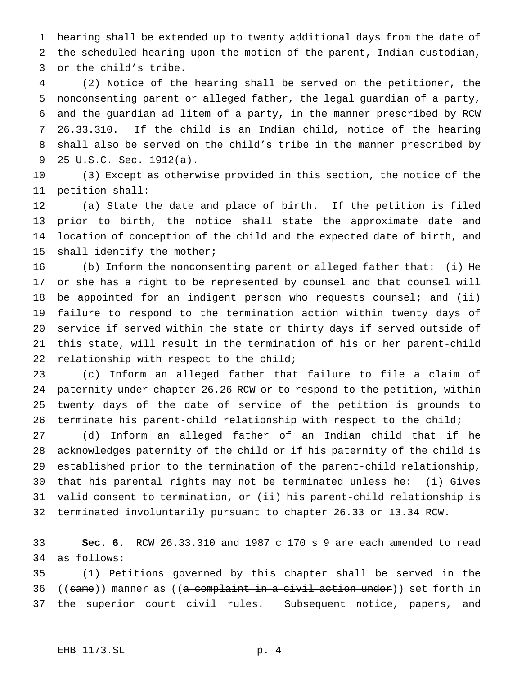hearing shall be extended up to twenty additional days from the date of the scheduled hearing upon the motion of the parent, Indian custodian, or the child's tribe.

 (2) Notice of the hearing shall be served on the petitioner, the nonconsenting parent or alleged father, the legal guardian of a party, and the guardian ad litem of a party, in the manner prescribed by RCW 26.33.310. If the child is an Indian child, notice of the hearing shall also be served on the child's tribe in the manner prescribed by 25 U.S.C. Sec. 1912(a).

 (3) Except as otherwise provided in this section, the notice of the petition shall:

 (a) State the date and place of birth. If the petition is filed prior to birth, the notice shall state the approximate date and location of conception of the child and the expected date of birth, and shall identify the mother;

 (b) Inform the nonconsenting parent or alleged father that: (i) He or she has a right to be represented by counsel and that counsel will be appointed for an indigent person who requests counsel; and (ii) failure to respond to the termination action within twenty days of 20 service if served within the state or thirty days if served outside of 21 this state, will result in the termination of his or her parent-child relationship with respect to the child;

 (c) Inform an alleged father that failure to file a claim of paternity under chapter 26.26 RCW or to respond to the petition, within twenty days of the date of service of the petition is grounds to terminate his parent-child relationship with respect to the child;

 (d) Inform an alleged father of an Indian child that if he acknowledges paternity of the child or if his paternity of the child is established prior to the termination of the parent-child relationship, that his parental rights may not be terminated unless he: (i) Gives valid consent to termination, or (ii) his parent-child relationship is terminated involuntarily pursuant to chapter 26.33 or 13.34 RCW.

 **Sec. 6.** RCW 26.33.310 and 1987 c 170 s 9 are each amended to read as follows:

 (1) Petitions governed by this chapter shall be served in the 36 ((same)) manner as ((a complaint in a civil action under)) set forth in the superior court civil rules. Subsequent notice, papers, and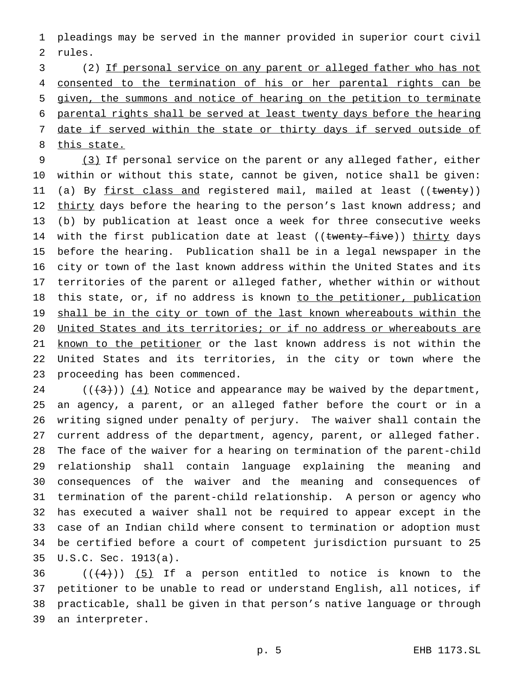pleadings may be served in the manner provided in superior court civil rules.

 (2) If personal service on any parent or alleged father who has not 4 consented to the termination of his or her parental rights can be given, the summons and notice of hearing on the petition to terminate parental rights shall be served at least twenty days before the hearing 7 date if served within the state or thirty days if served outside of 8 this state.

 (3) If personal service on the parent or any alleged father, either within or without this state, cannot be given, notice shall be given: 11 (a) By first class and registered mail, mailed at least ((twenty)) 12 thirty days before the hearing to the person's last known address; and (b) by publication at least once a week for three consecutive weeks 14 with the first publication date at least ((twenty-five)) thirty days before the hearing. Publication shall be in a legal newspaper in the city or town of the last known address within the United States and its territories of the parent or alleged father, whether within or without 18 this state, or, if no address is known to the petitioner, publication 19 shall be in the city or town of the last known whereabouts within the United States and its territories; or if no address or whereabouts are 21 known to the petitioner or the last known address is not within the United States and its territories, in the city or town where the proceeding has been commenced.

24 ( $(\frac{43}{12})$ ) (4) Notice and appearance may be waived by the department, an agency, a parent, or an alleged father before the court or in a writing signed under penalty of perjury. The waiver shall contain the current address of the department, agency, parent, or alleged father. The face of the waiver for a hearing on termination of the parent-child relationship shall contain language explaining the meaning and consequences of the waiver and the meaning and consequences of termination of the parent-child relationship. A person or agency who has executed a waiver shall not be required to appear except in the case of an Indian child where consent to termination or adoption must be certified before a court of competent jurisdiction pursuant to 25 U.S.C. Sec. 1913(a).

 $((+4))$   $(5)$  If a person entitled to notice is known to the petitioner to be unable to read or understand English, all notices, if practicable, shall be given in that person's native language or through an interpreter.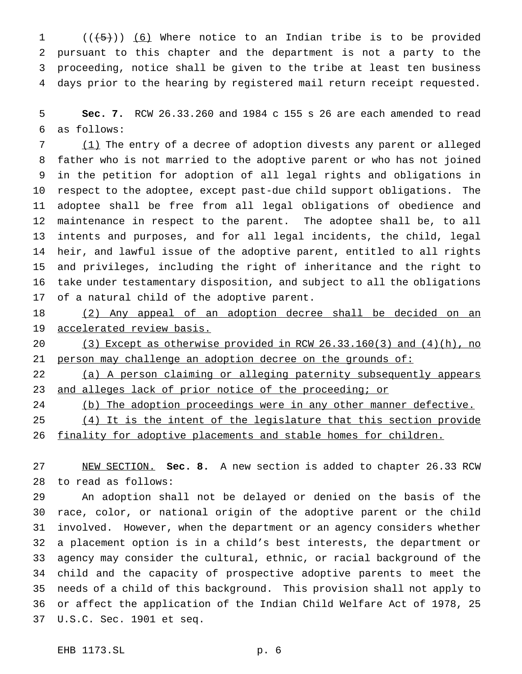$((\overline{5}))$  (6) Where notice to an Indian tribe is to be provided pursuant to this chapter and the department is not a party to the proceeding, notice shall be given to the tribe at least ten business days prior to the hearing by registered mail return receipt requested.

 **Sec. 7.** RCW 26.33.260 and 1984 c 155 s 26 are each amended to read as follows:

 (1) The entry of a decree of adoption divests any parent or alleged father who is not married to the adoptive parent or who has not joined in the petition for adoption of all legal rights and obligations in respect to the adoptee, except past-due child support obligations. The adoptee shall be free from all legal obligations of obedience and maintenance in respect to the parent. The adoptee shall be, to all intents and purposes, and for all legal incidents, the child, legal heir, and lawful issue of the adoptive parent, entitled to all rights and privileges, including the right of inheritance and the right to take under testamentary disposition, and subject to all the obligations of a natural child of the adoptive parent.

 (2) Any appeal of an adoption decree shall be decided on an accelerated review basis.

 (3) Except as otherwise provided in RCW 26.33.160(3) and (4)(h), no 21 person may challenge an adoption decree on the grounds of:

 (a) A person claiming or alleging paternity subsequently appears 23 and alleges lack of prior notice of the proceeding; or

24 (b) The adoption proceedings were in any other manner defective.

25 (4) It is the intent of the legislature that this section provide

26 finality for adoptive placements and stable homes for children.

 NEW SECTION. **Sec. 8.** A new section is added to chapter 26.33 RCW to read as follows:

 An adoption shall not be delayed or denied on the basis of the race, color, or national origin of the adoptive parent or the child involved. However, when the department or an agency considers whether a placement option is in a child's best interests, the department or agency may consider the cultural, ethnic, or racial background of the child and the capacity of prospective adoptive parents to meet the needs of a child of this background. This provision shall not apply to or affect the application of the Indian Child Welfare Act of 1978, 25 U.S.C. Sec. 1901 et seq.